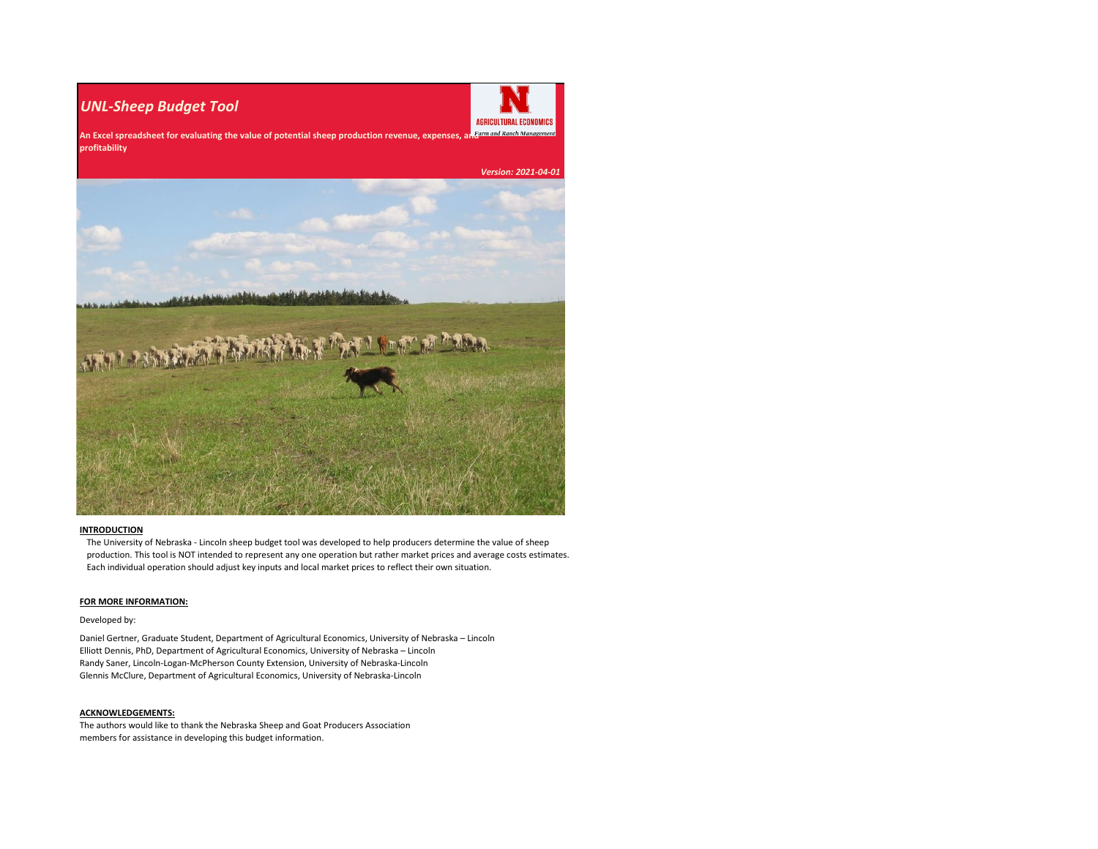### *UNL-Sheep Budget Tool*



An Excel spreadsheet for evaluating the value of potential sheep production revenue, expenses, an<sup>farm and Ranch Management</sup> **profitability**

 *Version: 2021-04-01*

### **INTRODUCTION**

The University of Nebraska - Lincoln sheep budget tool was developed to help producers determine the value of sheep production. This tool is NOT intended to represent any one operation but rather market prices and average costs estimates. Each individual operation should adjust key inputs and local market prices to reflect their own situation.

#### **FOR MORE INFORMATION:**

#### Developed by:

Daniel Gertner, Graduate Student, Department of Agricultural Economics, University of Nebraska – Lincoln Elliott Dennis, PhD, Department of Agricultural Economics, University of Nebraska – Lincoln Randy Saner, Lincoln-Logan-McPherson County Extension, University of Nebraska-Lincoln Glennis McClure, Department of Agricultural Economics, University of Nebraska-Lincoln

#### **ACKNOWLEDGEMENTS:**

The authors would like to thank the Nebraska Sheep and Goat Producers Association members for assistance in developing this budget information.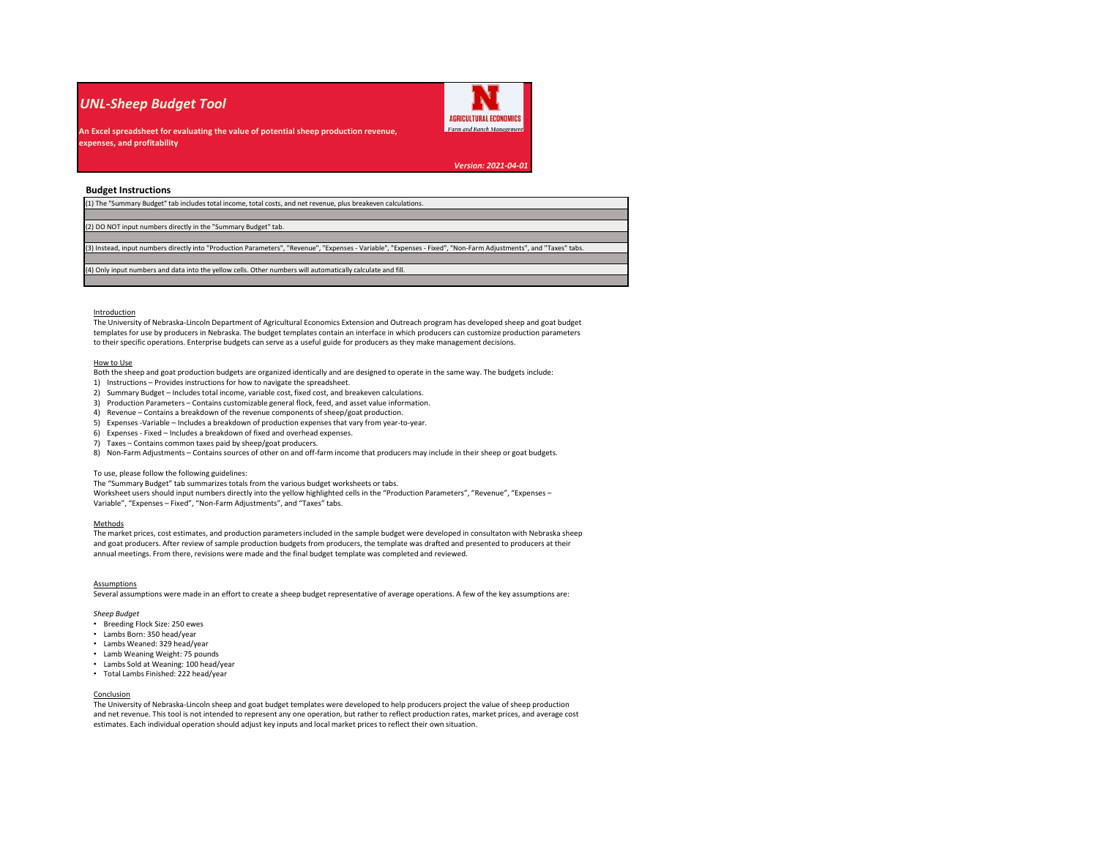### *UNL-Sheep Budget Tool*



**An Excel spreadsheet for evaluating the value of potential sheep production revenue, expenses, and profitability**

*Version: 2021-04-01*

#### **Budget Instructions**

| (1) The "Summary Budget" tab includes total income, total costs, and net revenue, plus breakeven calculations.                                                    |  |  |  |  |  |  |  |
|-------------------------------------------------------------------------------------------------------------------------------------------------------------------|--|--|--|--|--|--|--|
|                                                                                                                                                                   |  |  |  |  |  |  |  |
| (2) DO NOT input numbers directly in the "Summary Budget" tab.                                                                                                    |  |  |  |  |  |  |  |
|                                                                                                                                                                   |  |  |  |  |  |  |  |
| (3) Instead, input numbers directly into "Production Parameters", "Revenue", "Expenses - Variable", "Expenses - Fixed", "Non-Farm Adjustments", and "Taxes" tabs. |  |  |  |  |  |  |  |
|                                                                                                                                                                   |  |  |  |  |  |  |  |
| (4) Only input numbers and data into the yellow cells. Other numbers will automatically calculate and fill.                                                       |  |  |  |  |  |  |  |
|                                                                                                                                                                   |  |  |  |  |  |  |  |

#### Introduction

The University of Nebraska-Lincoln Department of Agricultural Economics Extension and Outreach program has developed sheep and goat budget templates for use by producers in Nebraska. The budget templates contain an interface in which producers can customize production parameters to their specific operations. Enterprise budgets can serve as a useful guide for producers as they make management decisions.

#### How to Use

Both the sheep and goat production budgets are organized identically and are designed to operate in the same way. The budgets include:

- 1) Instructions Provides instructions for how to navigate the spreadsheet.
- 2) Summary Budget Includes total income, variable cost, fixed cost, and breakeven calculations.
- 3) Production Parameters Contains customizable general flock, feed, and asset value information.
- 4) Revenue Contains a breakdown of the revenue components of sheep/goat production.
- 5) Expenses -Variable Includes a breakdown of production expenses that vary from year-to-year.
- 6) Expenses Fixed Includes a breakdown of fixed and overhead expenses.
- 7) Taxes Contains common taxes paid by sheep/goat producers.

8) Non-Farm Adjustments – Contains sources of other on and off-farm income that producers may include in their sheep or goat budgets.

#### To use, please follow the following guidelines:

The "Summary Budget" tab summarizes totals from the various budget worksheets or tabs.

Worksheet users should input numbers directly into the yellow highlighted cells in the "Production Parameters", "Revenue", "Expenses – Variable", "Expenses – Fixed", "Non-Farm Adjustments", and "Taxes" tabs.

#### Methods

The market prices, cost estimates, and production parameters included in the sample budget were developed in consultaton with Nebraska sheep and goat producers. After review of sample production budgets from producers, the template was drafted and presented to producers at their annual meetings. From there, revisions were made and the final budget template was completed and reviewed.

#### Assumptions

Several assumptions were made in an effort to create a sheep budget representative of average operations. A few of the key assumptions are:

*Sheep Budget*

- Breeding Flock Size: 250 ewes
- Lambs Born: 350 head/year
- Lambs Weaned: 329 head/year
- Lamb Weaning Weight: 75 pounds
- Lambs Sold at Weaning: 100 head/year
- Total Lambs Finished: 222 head/year

#### Conclusion

The University of Nebraska-Lincoln sheep and goat budget templates were developed to help producers project the value of sheep production and net revenue. This tool is not intended to represent any one operation, but rather to reflect production rates, market prices, and average cost estimates. Each individual operation should adjust key inputs and local market prices to reflect their own situation.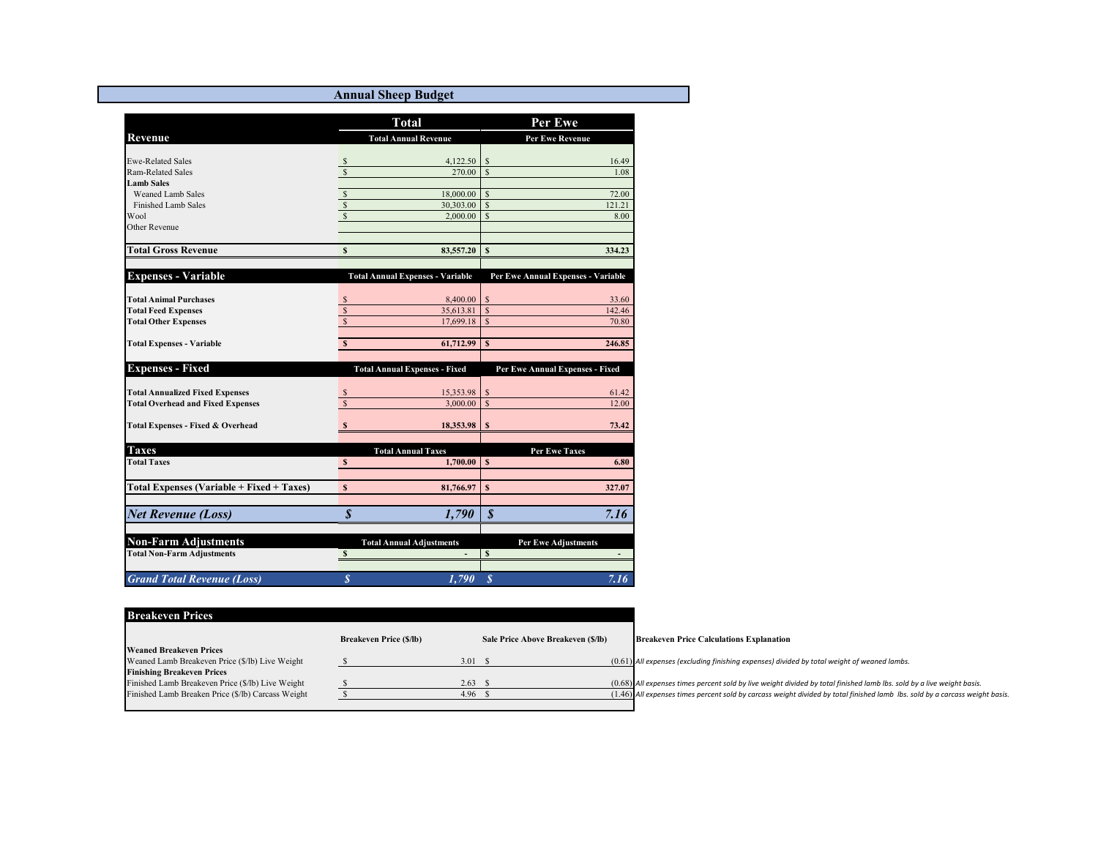**Annual Sheep Budget**

|                                                  |                         | <b>Total</b>                            |                    | Per Ewe                            |
|--------------------------------------------------|-------------------------|-----------------------------------------|--------------------|------------------------------------|
| Revenue                                          |                         | <b>Total Annual Revenue</b>             |                    | <b>Per Ewe Revenue</b>             |
| <b>Ewe-Related Sales</b>                         | $\mathbb{S}$            | 4,122.50                                | \$                 | 16.49                              |
| Ram-Related Sales                                | $\mathbf{s}$            | 270.00                                  | <sup>\$</sup>      | 1.08                               |
| <b>Lamb Sales</b>                                |                         |                                         |                    |                                    |
| <b>Weaned Lamb Sales</b>                         | $rac{s}{s}$             | 18,000.00                               | $\mathcal{S}$      | 72.00                              |
| Finished Lamb Sales                              |                         | 30,303.00                               | $\mathbf S$        | 121.21                             |
| Wool                                             | \$                      | 2,000.00                                | $\mathbf{s}$       | 8.00                               |
| Other Revenue                                    |                         |                                         |                    |                                    |
| <b>Total Gross Revenue</b>                       | \$                      | 83,557.20                               | $\mathbf{s}$       | 334.23                             |
|                                                  |                         |                                         |                    |                                    |
| <b>Expenses - Variable</b>                       |                         | <b>Total Annual Expenses - Variable</b> |                    | Per Ewe Annual Expenses - Variable |
| <b>Total Animal Purchases</b>                    | S                       | 8,400.00                                | \$                 | 33.60                              |
| <b>Total Feed Expenses</b>                       | $\sqrt{s}$              | 35,613.81                               | $\mathbf S$        | 142.46                             |
| <b>Total Other Expenses</b>                      | $\overline{\mathbf{s}}$ | 17,699.18                               | $\mathbf{\hat{S}}$ | 70.80                              |
| <b>Total Expenses - Variable</b>                 | $\overline{\mathbf{s}}$ | 61,712.99                               | S                  | 246.85                             |
|                                                  |                         |                                         |                    |                                    |
| <b>Expenses - Fixed</b>                          |                         | <b>Total Annual Expenses - Fixed</b>    |                    | Per Ewe Annual Expenses - Fixed    |
| <b>Total Annualized Fixed Expenses</b>           |                         | 15,353.98                               | $\mathcal{S}$      | 61.42                              |
| <b>Total Overhead and Fixed Expenses</b>         | $\overline{\mathbf{s}}$ | 3,000.00                                | $\mathbf S$        | 12.00                              |
| Total Expenses - Fixed & Overhead                | $\mathbf{s}$            | 18,353.98                               | \$                 | 73.42                              |
|                                                  |                         |                                         |                    |                                    |
| <b>Taxes</b>                                     |                         | <b>Total Annual Taxes</b>               |                    | <b>Per Ewe Taxes</b>               |
| <b>Total Taxes</b>                               | $\mathbb S$             | 1,700.00                                | l s                | 6.80                               |
| <b>Total Expenses (Variable + Fixed + Taxes)</b> | $\mathbf{s}$            | 81,766.97                               | \$                 | 327.07                             |
|                                                  |                         |                                         |                    |                                    |
| <b>Net Revenue (Loss)</b>                        | $\boldsymbol{s}$        | 1,790                                   | $\boldsymbol{s}$   | 7.16                               |
| <b>Non-Farm Adjustments</b>                      |                         | <b>Total Annual Adjustments</b>         |                    | <b>Per Ewe Adjustments</b>         |
| <b>Total Non-Farm Adjustments</b>                | $\mathbf{s}$            |                                         | $\mathbf{s}$       |                                    |
|                                                  |                         |                                         |                    |                                    |
| <b>Grand Total Revenue (Loss)</b>                | $\overline{s}$          | 1,790                                   | $\boldsymbol{s}$   | 7.16                               |

| <b>Breakeven Prices</b>                            |                                |                   |                                    |                                                                                                                              |
|----------------------------------------------------|--------------------------------|-------------------|------------------------------------|------------------------------------------------------------------------------------------------------------------------------|
|                                                    | <b>Breakeven Price (\$/lb)</b> |                   | Sale Price Above Breakeven (\$/lb) | <b>Breakeven Price Calculations Explanation</b>                                                                              |
| <b>Weaned Breakeven Prices</b>                     |                                |                   |                                    |                                                                                                                              |
| Weaned Lamb Breakeven Price (\$/lb) Live Weight    |                                | 3.01 S            |                                    | $(0.61)$ All expenses (excluding finishing expenses) divided by total weight of weaned lambs.                                |
| <b>Finishing Breakeven Prices</b>                  |                                |                   |                                    |                                                                                                                              |
| Finished Lamb Breakeven Price (\$/lb) Live Weight  |                                | 2.63 S            |                                    | $(0.68)$ All expenses times percent sold by live weight divided by total finished lamb lbs. sold by a live weight basis.     |
| Finished Lamb Breaken Price (\$/lb) Carcass Weight |                                | 4.96 <sup>5</sup> |                                    | (1.46) All expenses times percent sold by carcass weight divided by total finished lamb Ibs. sold by a carcass weight basis. |
|                                                    |                                |                   |                                    |                                                                                                                              |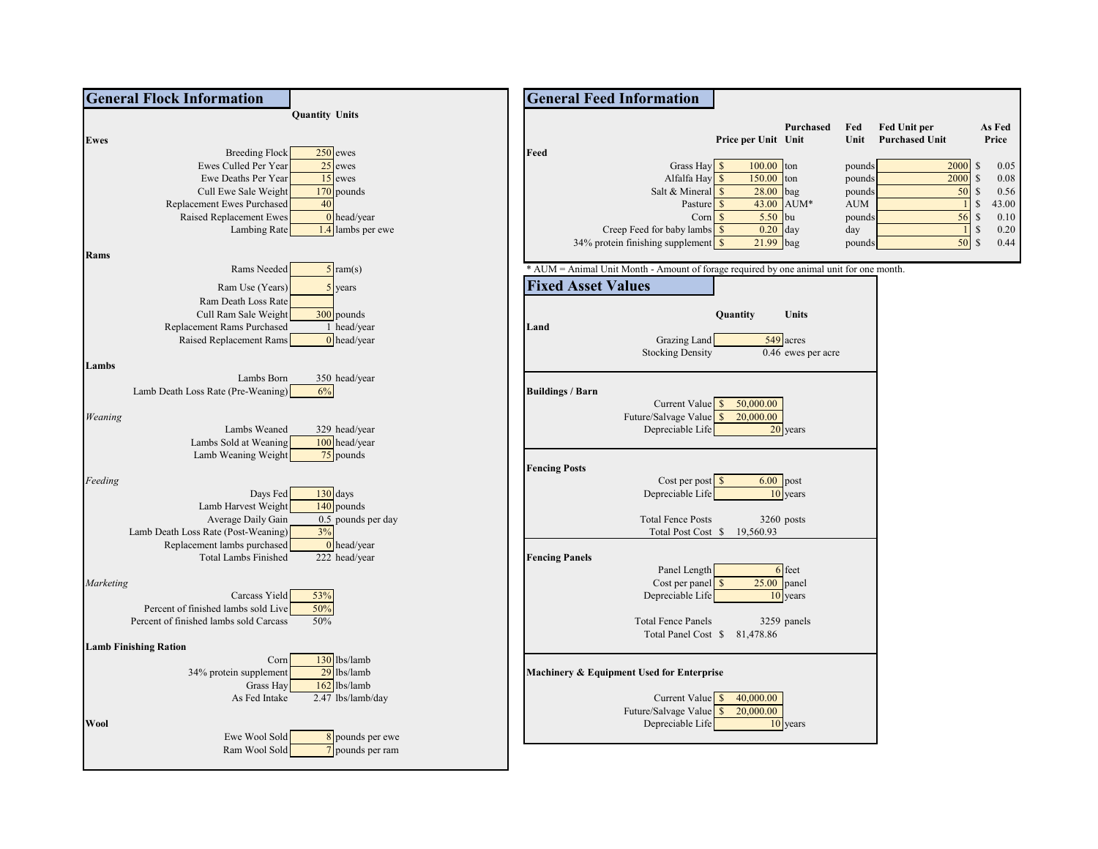| <b>General Flock Information</b>                      |                                               | <b>General Feed Information</b>                                                                                           |
|-------------------------------------------------------|-----------------------------------------------|---------------------------------------------------------------------------------------------------------------------------|
|                                                       | <b>Quantity Units</b>                         |                                                                                                                           |
|                                                       |                                               | As Fed<br>Purchased<br><b>Fed Unit per</b><br>Fed                                                                         |
| Ewes                                                  |                                               | <b>Purchased Unit</b><br>Price<br>Price per Unit Unit<br>Unit                                                             |
|                                                       | $250$ ewes<br><b>Breeding Flock</b>           | Feed                                                                                                                      |
| Ewes Culled Per Year                                  | $25$ ewes                                     | 2000<br>Grass Hay<br>100.00<br>$\mathbb{S}$<br>0.05<br>ton<br>pounds                                                      |
| Ewe Deaths Per Year                                   | $15$ ewes                                     | $\mathbb{S}$<br>150.00<br>2000<br>Alfalfa Hay \$<br>ton<br>0.08<br>pounds<br>$\mathbb{S}$<br>Salt & Mineral $\frac{1}{s}$ |
| Cull Ewe Sale Weight                                  | $170$ pounds<br>40                            | 28.00<br>bag<br>50<br>0.56<br>pounds<br>$\mathbb S$<br>43.00                                                              |
| Replacement Ewes Purchased<br>Raised Replacement Ewes | $0$ head/year                                 | 43.00 AUM*<br>Pasture \$<br>AUM<br>5.50<br>56<br>$\mathbb{S}$<br>Corn $\sqrt{\ }$<br>bu<br>0.10<br>pounds                 |
|                                                       | 1.4 lambs per ewe<br>Lambing Rate             | $\mathbb{S}$<br>0.20<br>$0.20$ day<br>Creep Feed for baby lambs \$<br>day                                                 |
|                                                       |                                               | 34% protein finishing supplement $\frac{\$}{}$<br>$21.99$ bag<br>50S<br>0.44<br>pounds                                    |
| Rams                                                  |                                               |                                                                                                                           |
|                                                       | Rams Needed<br>$5$ ram(s)                     | * AUM = Animal Unit Month - Amount of forage required by one animal unit for one month.                                   |
|                                                       |                                               |                                                                                                                           |
|                                                       | Ram Use (Years)<br>$5$ years                  | <b>Fixed Asset Values</b>                                                                                                 |
| Ram Death Loss Rate                                   |                                               |                                                                                                                           |
| Cull Ram Sale Weight                                  | 300 pounds                                    | Units<br>Quantity                                                                                                         |
| Replacement Rams Purchased                            | 1 head/year                                   | Land                                                                                                                      |
| Raised Replacement Rams                               | $0$ head/year                                 | Grazing Land<br>549 acres                                                                                                 |
|                                                       |                                               | <b>Stocking Density</b><br>0.46 ewes per acre                                                                             |
| Lambs                                                 | Lambs Born<br>350 head/year                   |                                                                                                                           |
| Lamb Death Loss Rate (Pre-Weaning)                    | 6%                                            | <b>Buildings / Barn</b>                                                                                                   |
|                                                       |                                               | 50,000.00<br>Current Value \$                                                                                             |
| Weaning                                               |                                               | Future/Salvage Value<br>20,000.00                                                                                         |
|                                                       | Lambs Weaned<br>329 head/year                 | Depreciable Life<br>20 years                                                                                              |
| Lambs Sold at Weaning                                 | 100 head/year                                 |                                                                                                                           |
| Lamb Weaning Weight                                   | 75 pounds                                     |                                                                                                                           |
|                                                       |                                               | <b>Fencing Posts</b>                                                                                                      |
| Feeding                                               |                                               | Cost per post $\sqrt{s}$<br>$6.00$ post                                                                                   |
|                                                       | $130$ days<br>Days Fed                        | Depreciable Life<br>10 years                                                                                              |
| Lamb Harvest Weight                                   | $140$ pounds                                  |                                                                                                                           |
| Average Daily Gain                                    | 0.5 pounds per day                            | <b>Total Fence Posts</b><br>3260 posts                                                                                    |
| Lamb Death Loss Rate (Post-Weaning)                   | 3%                                            | Total Post Cost \$ 19,560.93                                                                                              |
| Replacement lambs purchased                           | $\overline{0}$ head/year                      |                                                                                                                           |
| <b>Total Lambs Finished</b>                           | 222 head/year                                 | <b>Fencing Panels</b>                                                                                                     |
|                                                       |                                               | Panel Length<br>6 feet                                                                                                    |
| Marketing                                             |                                               | Cost per panel $\sqrt{\$}$<br>25.00<br>panel                                                                              |
|                                                       | Carcass Yield<br>53%                          | Depreciable Life<br>10 years                                                                                              |
| Percent of finished lambs sold Live                   | 50%                                           |                                                                                                                           |
| Percent of finished lambs sold Carcass                | 50%                                           | <b>Total Fence Panels</b><br>3259 panels                                                                                  |
|                                                       |                                               | Total Panel Cost \$ 81,478.86                                                                                             |
| <b>Lamb Finishing Ration</b>                          |                                               |                                                                                                                           |
|                                                       | 130 lbs/lamb<br>Corn<br>29 lbs/lamb           |                                                                                                                           |
| 34% protein supplement                                | Grass Hay<br>$162$ lbs/lamb                   | Machinery & Equipment Used for Enterprise                                                                                 |
|                                                       | 2.47 lbs/lamb/day<br>As Fed Intake            | 40,000.00<br>Current Value \$                                                                                             |
|                                                       |                                               | Future/Salvage Value \$<br>20,000.00                                                                                      |
| Wool                                                  |                                               | Depreciable Life<br>10 years                                                                                              |
|                                                       | Ewe Wool Sold<br>8 pounds per ewe             |                                                                                                                           |
|                                                       | $\frac{7}{7}$ pounds per ram<br>Ram Wool Sold |                                                                                                                           |
|                                                       |                                               |                                                                                                                           |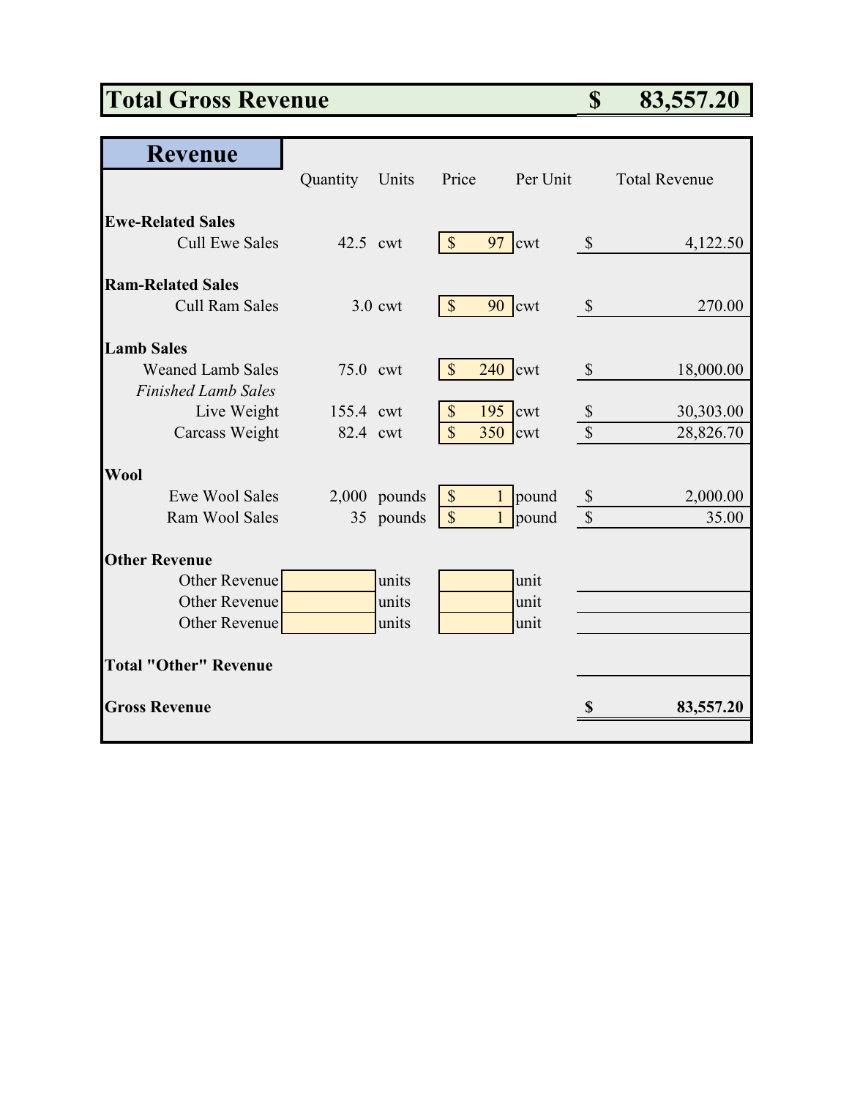# **Total Gross Revenue \$ 83,557.20**

| <b>Revenue</b>               |           |                |                           |           |                            |                      |
|------------------------------|-----------|----------------|---------------------------|-----------|----------------------------|----------------------|
|                              | Quantity  | Units          | Price                     | Per Unit  |                            | <b>Total Revenue</b> |
|                              |           |                |                           |           |                            |                      |
| <b>Ewe-Related Sales</b>     |           |                |                           |           |                            |                      |
| <b>Cull Ewe Sales</b>        | 42.5 cwt  |                | $\sqrt{\ }$               | 97 cwt    | $\boldsymbol{\mathcal{S}}$ | 4,122.50             |
| <b>Ram-Related Sales</b>     |           |                |                           |           |                            |                      |
| Cull Ram Sales               |           | $3.0$ cwt      | $\mathcal{S}$             | $90$ cwt  | $\mathcal{S}$              | 270.00               |
| <b>Lamb Sales</b>            |           |                |                           |           |                            |                      |
| <b>Weaned Lamb Sales</b>     | 75.0 cwt  |                | $\mathcal{S}$             | $240$ cwt | $\mathcal{S}$              | 18,000.00            |
| <b>Finished Lamb Sales</b>   |           |                |                           |           |                            |                      |
| Live Weight                  | 155.4 cwt |                | $\boldsymbol{\mathsf{S}}$ | $195$ cwt | $\boldsymbol{\mathcal{S}}$ | 30,303.00            |
| Carcass Weight               | 82.4 cwt  |                | $\overline{\mathbb{S}}$   | $350$ cwt | $\mathcal{S}$              | 28,826.70            |
| <b>Wool</b>                  |           |                |                           |           |                            |                      |
| <b>Ewe Wool Sales</b>        |           | $2,000$ pounds | \$                        | 1 pound   | $\boldsymbol{\mathcal{S}}$ | 2,000.00             |
| Ram Wool Sales               |           | 35 pounds      | $\mathcal{S}$             | 1 pound   | $\mathcal{S}$              | 35.00                |
| <b>Other Revenue</b>         |           |                |                           |           |                            |                      |
| <b>Other Revenue</b>         |           | units          |                           | unit      |                            |                      |
| <b>Other Revenue</b>         |           | units          |                           | unit      |                            |                      |
| Other Revenue                |           | units          |                           | unit      |                            |                      |
| <b>Total "Other" Revenue</b> |           |                |                           |           |                            |                      |
|                              |           |                |                           |           |                            |                      |
| <b>Gross Revenue</b>         |           |                |                           |           | \$                         | 83,557.20            |
|                              |           |                |                           |           |                            |                      |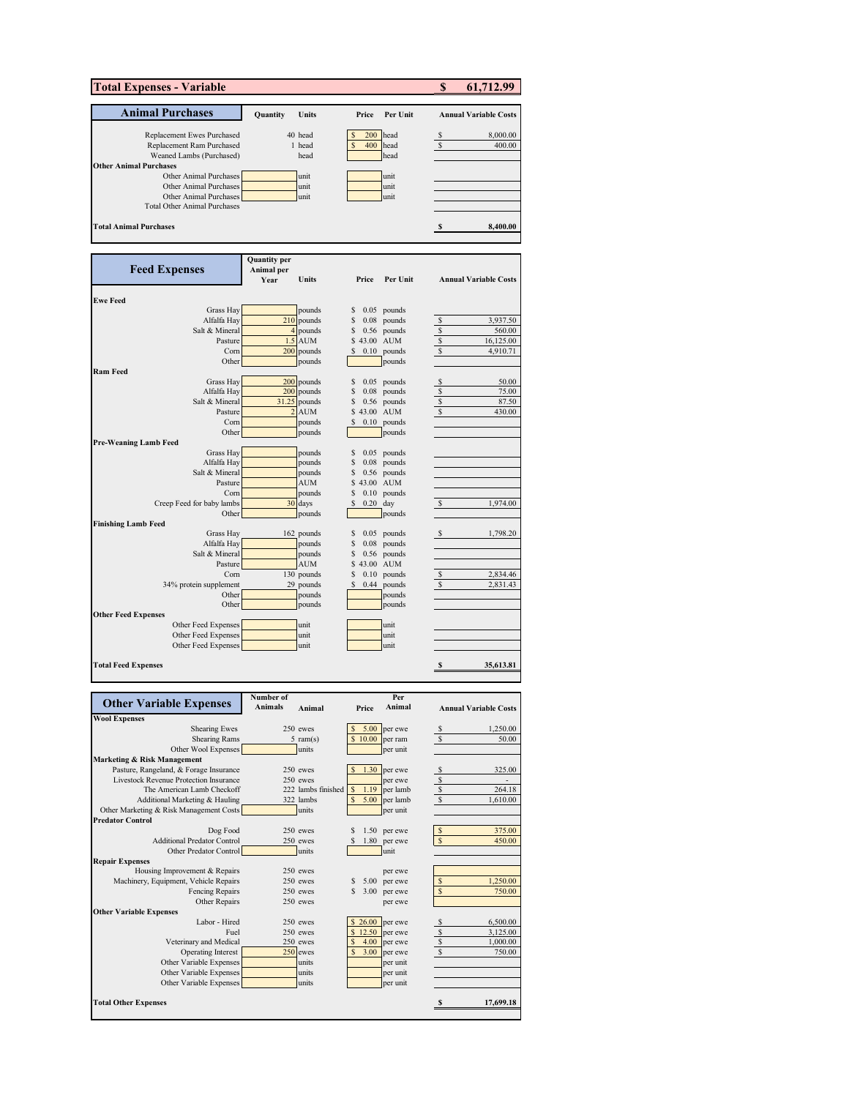| <b>Total Expenses - Variable</b>                              |                      |                      |                 |                                | \$      | 61,712.99                    |
|---------------------------------------------------------------|----------------------|----------------------|-----------------|--------------------------------|---------|------------------------------|
| <b>Animal Purchases</b>                                       | Quantity             | Units                | Price           | Per Unit                       |         | <b>Annual Variable Costs</b> |
|                                                               |                      |                      |                 |                                |         |                              |
| Replacement Ewes Purchased<br>Replacement Ram Purchased       |                      | 40 head<br>1 head    | 200<br>400      | head<br>head                   | S<br>\$ | 8,000.00<br>400.00           |
| Weaned Lambs (Purchased)                                      |                      | head                 |                 | head                           |         |                              |
| <b>Other Animal Purchases</b>                                 |                      |                      |                 |                                |         |                              |
| Other Animal Purchases<br>Other Animal Purchases              |                      | unit<br>unit         |                 | unit<br>unit                   |         |                              |
| Other Animal Purchases                                        |                      | unit                 |                 | unit                           |         |                              |
| <b>Total Other Animal Purchases</b>                           |                      |                      |                 |                                |         |                              |
|                                                               |                      |                      |                 |                                |         |                              |
| <b>Total Animal Purchases</b>                                 |                      |                      |                 |                                | S       | 8,400.00                     |
|                                                               | <b>Quantity per</b>  |                      |                 |                                |         |                              |
| <b>Feed Expenses</b>                                          | Animal per           |                      |                 |                                |         |                              |
|                                                               | Year                 | Units                | Price           | Per Unit                       |         | <b>Annual Variable Costs</b> |
| <b>Ewe Feed</b>                                               |                      |                      |                 |                                |         |                              |
| Grass Hay                                                     |                      | pounds               | S               | $0.05$ pounds                  |         |                              |
| Alfalfa Hay                                                   |                      | $210$ pounds         | S               | $0.08$ pounds                  | \$      | 3,937.50                     |
| Salt & Mineral                                                | $\overline{4}$       | pounds               | S               | $0.56$ pounds                  | \$      | 560.00                       |
| Pasture                                                       | 1.5                  | <b>AUM</b>           | \$43.00 AUM     |                                | \$      | 16,125.00                    |
| Corn                                                          | 200                  | pounds               | S               | $0.10$ pounds                  | S       | 4,910.71                     |
| Other<br><b>Ram Feed</b>                                      |                      | pounds               |                 | pounds                         |         |                              |
| Grass Hay                                                     | 200                  | pounds               | S               | $0.05$ pounds                  | S       | 50.00                        |
| Alfalfa Hay                                                   |                      | $200$ pounds         | S               | $0.08$ pounds                  | \$      | 75.00                        |
| Salt & Mineral                                                | 31.25                | pounds               | S               | $0.56$ pounds                  | \$      | 87.50                        |
| Pasture                                                       |                      | $2$ AUM              | \$43.00 AUM     |                                | S       | 430.00                       |
| Corn                                                          |                      | pounds               |                 | $0.10$ pounds                  |         |                              |
| Other                                                         |                      | pounds               |                 | pounds                         |         |                              |
| Pre-Weaning Lamb Feed                                         |                      |                      |                 |                                |         |                              |
| Grass Hay<br>Alfalfa Hay                                      |                      | pounds<br>pounds     | S<br>S          | $0.05$ pounds<br>$0.08$ pounds |         |                              |
| Salt & Mineral                                                |                      | pounds               | S               | $0.56$ pounds                  |         |                              |
| Pasture                                                       |                      | AUM                  | s<br>43.00 AUM  |                                |         |                              |
| Corn                                                          |                      | pounds               | S               | $0.10$ pounds                  |         |                              |
| Creep Feed for baby lambs                                     |                      | 30 days              | $0.20$ day<br>S |                                | \$      | 1,974.00                     |
| Other                                                         |                      | pounds               |                 | pounds                         |         |                              |
| Finishing Lamb Feed                                           |                      |                      |                 |                                |         |                              |
| Grass Hay<br>Alfalfa Hay                                      |                      | 162 pounds           | S<br>\$         | $0.05$ pounds                  | S       | 1,798.20                     |
| Salt & Mineral                                                |                      | pounds<br>pounds     | S               | $0.08$ pounds<br>$0.56$ pounds |         |                              |
| Pasture                                                       |                      | <b>AUM</b>           | S               | 43.00 AUM                      |         |                              |
| Corn                                                          |                      | 130 pounds           | S               | $0.10$ pounds                  | \$      | 2,834.46                     |
| 34% protein supplement                                        |                      | 29 pounds            | 0.44            | pounds                         |         | 2,831.43                     |
| Other                                                         |                      | pounds               |                 | pounds                         |         |                              |
| Other                                                         |                      | pounds               |                 | pounds                         |         |                              |
| <b>Other Feed Expenses</b>                                    |                      | unit                 |                 | unit                           |         |                              |
| Other Feed Expenses<br>Other Feed Expenses                    |                      | unit                 |                 | unit                           |         |                              |
| Other Feed Expenses                                           |                      | unit                 |                 | unit                           |         |                              |
| <b>Total Feed Expenses</b>                                    |                      |                      |                 |                                | \$      | 35,613.81                    |
|                                                               |                      |                      |                 |                                |         |                              |
| <b>Other Variable Expenses</b>                                | Number of<br>Animals |                      |                 | Per<br>Animal                  |         |                              |
| <b>Wool Expenses</b>                                          |                      | Animal               | Price           |                                |         | <b>Annual Variable Costs</b> |
| <b>Shearing Ewes</b>                                          |                      | 250 ewes             | 5.00            | per ewe                        |         | 1,250.00                     |
| <b>Shearing Rams</b>                                          |                      | $5$ ram(s)           | 10.00           | per ram                        |         | 50.00                        |
| Other Wool Expenses<br><b>Marketing &amp; Risk Management</b> |                      | units                |                 | per unit                       |         |                              |
| Pasture, Rangeland, & Forage Insurance                        |                      | 250 ewes             | 1.30            | per ewe                        | \$      | 325.00                       |
| Livestock Revenue Protection Insurance                        |                      | 250 ewes             |                 | per ewe                        | \$      |                              |
| The American Lamb Checkoff                                    |                      | 222 lambs finished   | 1.19            | per lamb                       | \$      | 264.18                       |
| Additional Marketing & Hauling                                |                      | 322 lambs            | 5.00            | per lamb                       |         | 1,610.00                     |
| Other Marketing & Risk Management Costs                       |                      | units                |                 | per unit                       |         |                              |
| <b>Predator Control</b>                                       |                      |                      |                 |                                |         |                              |
| Dog Food<br><b>Additional Predator Control</b>                |                      | 250 ewes<br>250 ewes | \$<br>1.80      | $1.50$ per ewe<br>per ewe      | \$      | 375.00<br>450.00             |
| Other Predator Control                                        |                      | units                |                 | unit                           |         |                              |
| <b>Repair Expenses</b>                                        |                      |                      |                 |                                |         |                              |
| Housing Improvement & Repairs                                 |                      | 250 ewes             |                 | per ewe                        |         |                              |
| Machinery, Equipment, Vehicle Repairs                         |                      | 250 ewes             | S<br>5.00       | per ewe                        |         | 1,250.00                     |
| Fencing Repairs                                               |                      | 250 ewes             | S               | 3.00 per ewe                   | S       | 750.00                       |
| Other Repairs                                                 |                      | 250 ewes             |                 | per ewe                        |         |                              |
| <b>Other Variable Expenses</b><br>Labor - Hired               |                      | 250 ewes             | 26.00           | per ewe                        | S       | 6,500.00                     |
| Fuel                                                          |                      | 250 ewes             | 12.50           | per ewe                        | \$      | 3,125.00                     |
| Veterinary and Medical                                        |                      | 250 ewes             | 4.00            | per ewe                        |         | 1,000.00                     |
| <b>Operating Interest</b>                                     |                      | $250$ ewes           | 3.00            | per ewe                        | \$      | 750.00                       |
| Other Variable Expenses                                       |                      | units                |                 | per unit                       |         |                              |
| Other Variable Expenses                                       |                      | units                |                 | per unit                       |         |                              |
| Other Variable Expenses                                       |                      | units                |                 | per unit                       |         |                              |
| <b>Total Other Expenses</b>                                   |                      |                      |                 |                                |         | 17,699.18                    |
|                                                               |                      |                      |                 |                                |         |                              |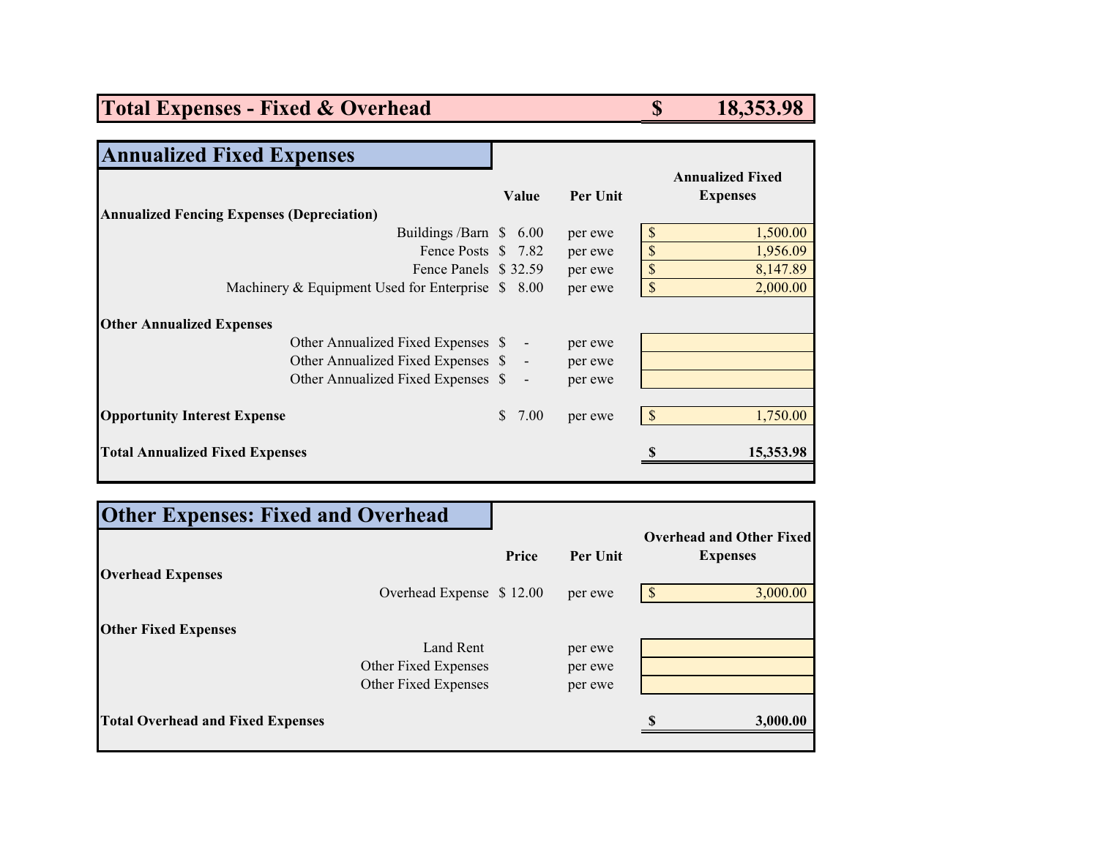### **Total Expenses - Fixed & Overhead \$** 18,353.98

| <b>Annualized Fixed Expenses</b>                  |            |          |            |                                            |
|---------------------------------------------------|------------|----------|------------|--------------------------------------------|
|                                                   | Value      | Per Unit |            | <b>Annualized Fixed</b><br><b>Expenses</b> |
| <b>Annualized Fencing Expenses (Depreciation)</b> |            |          |            |                                            |
| Buildings /Barn \$ 6.00                           |            | per ewe  | \$         | 1,500.00                                   |
| Fence Posts \$7.82                                |            | per ewe  | \$         | 1,956.09                                   |
| Fence Panels \$32.59                              |            | per ewe  | \$         | 8,147.89                                   |
| Machinery & Equipment Used for Enterprise $$8.00$ |            | per ewe  | \$         | 2,000.00                                   |
| <b>Other Annualized Expenses</b>                  |            |          |            |                                            |
| Other Annualized Fixed Expenses \$ -              |            | per ewe  |            |                                            |
| Other Annualized Fixed Expenses \$ -              |            | per ewe  |            |                                            |
| Other Annualized Fixed Expenses \$                | $\sim$ $-$ | per ewe  |            |                                            |
| <b>Opportunity Interest Expense</b>               | 7.00<br>S. | per ewe  | $\sqrt{S}$ | 1,750.00                                   |
| <b>Total Annualized Fixed Expenses</b>            |            |          |            | 15,353.98                                  |
|                                                   |            |          |            |                                            |

| <b>Other Expenses: Fixed and Overhead</b> |                          |       |          |                                                    |
|-------------------------------------------|--------------------------|-------|----------|----------------------------------------------------|
| <b>Overhead Expenses</b>                  |                          | Price | Per Unit | <b>Overhead and Other Fixed</b><br><b>Expenses</b> |
|                                           | Overhead Expense \$12.00 |       | per ewe  | -S<br>3,000.00                                     |
| <b>Other Fixed Expenses</b>               |                          |       |          |                                                    |
|                                           | Land Rent                |       | per ewe  |                                                    |
|                                           | Other Fixed Expenses     |       | per ewe  |                                                    |
|                                           | Other Fixed Expenses     |       | per ewe  |                                                    |
| <b>Total Overhead and Fixed Expenses</b>  |                          |       |          | 3,000.00                                           |
|                                           |                          |       |          |                                                    |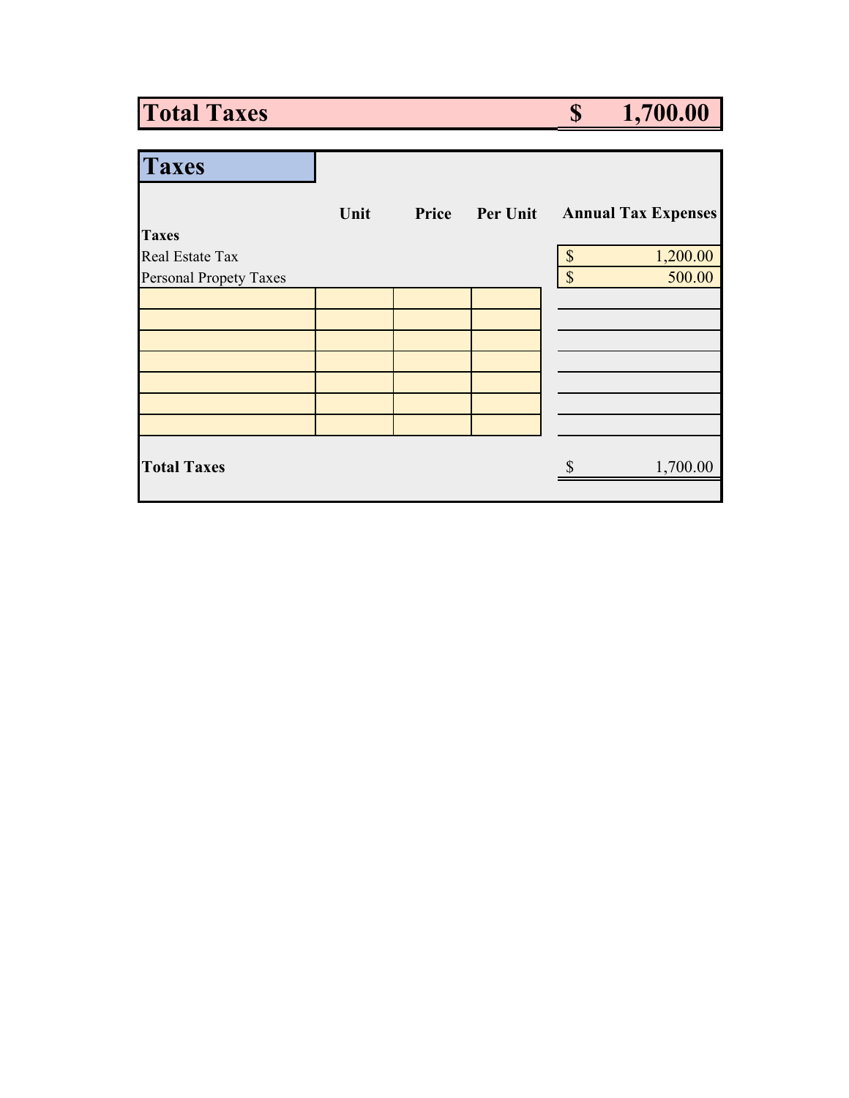# **Total Taxes \$ 1,700.00**

| <b>Taxes</b>                  |      |       |                 |                           |                            |
|-------------------------------|------|-------|-----------------|---------------------------|----------------------------|
|                               | Unit | Price | <b>Per Unit</b> |                           | <b>Annual Tax Expenses</b> |
| <b>Taxes</b>                  |      |       |                 |                           |                            |
| Real Estate Tax               |      |       |                 | \$                        | 1,200.00                   |
| <b>Personal Propety Taxes</b> |      |       |                 | $\boldsymbol{\mathsf{S}}$ | 500.00                     |
|                               |      |       |                 |                           |                            |
|                               |      |       |                 |                           |                            |
|                               |      |       |                 |                           |                            |
|                               |      |       |                 |                           |                            |
|                               |      |       |                 |                           |                            |
|                               |      |       |                 |                           |                            |
|                               |      |       |                 |                           |                            |
| <b>Total Taxes</b>            |      |       |                 |                           | 1,700.00                   |
|                               |      |       |                 |                           |                            |